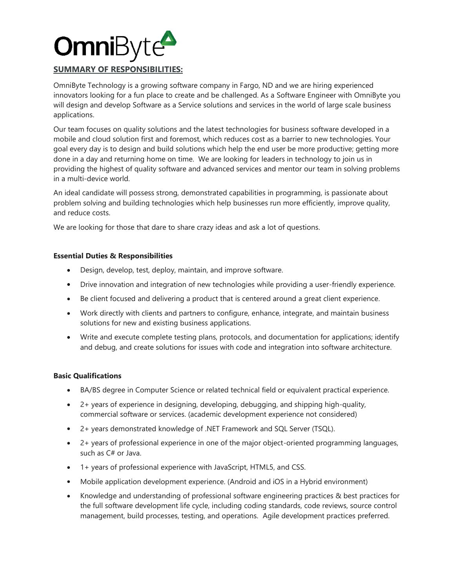

## **SUMMARY OF RESPONSIBILITIES:**

OmniByte Technology is a growing software company in Fargo, ND and we are hiring experienced innovators looking for a fun place to create and be challenged. As a Software Engineer with OmniByte you will design and develop Software as a Service solutions and services in the world of large scale business applications.

Our team focuses on quality solutions and the latest technologies for business software developed in a mobile and cloud solution first and foremost, which reduces cost as a barrier to new technologies. Your goal every day is to design and build solutions which help the end user be more productive; getting more done in a day and returning home on time. We are looking for leaders in technology to join us in providing the highest of quality software and advanced services and mentor our team in solving problems in a multi-device world.

An ideal candidate will possess strong, demonstrated capabilities in programming, is passionate about problem solving and building technologies which help businesses run more efficiently, improve quality, and reduce costs.

We are looking for those that dare to share crazy ideas and ask a lot of questions.

## **Essential Duties & Responsibilities**

- Design, develop, test, deploy, maintain, and improve software.
- Drive innovation and integration of new technologies while providing a user-friendly experience.
- Be client focused and delivering a product that is centered around a great client experience.
- Work directly with clients and partners to configure, enhance, integrate, and maintain business solutions for new and existing business applications.
- Write and execute complete testing plans, protocols, and documentation for applications; identify and debug, and create solutions for issues with code and integration into software architecture.

## **Basic Qualifications**

- BA/BS degree in Computer Science or related technical field or equivalent practical experience.
- 2+ years of experience in designing, developing, debugging, and shipping high-quality, commercial software or services. (academic development experience not considered)
- 2+ years demonstrated knowledge of .NET Framework and SQL Server (TSQL).
- 2+ years of professional experience in one of the major object-oriented programming languages, such as C# or Java.
- 1+ years of professional experience with JavaScript, HTML5, and CSS.
- Mobile application development experience. (Android and iOS in a Hybrid environment)
- Knowledge and understanding of professional software engineering practices & best practices for the full software development life cycle, including coding standards, code reviews, source control management, build processes, testing, and operations. Agile development practices preferred.